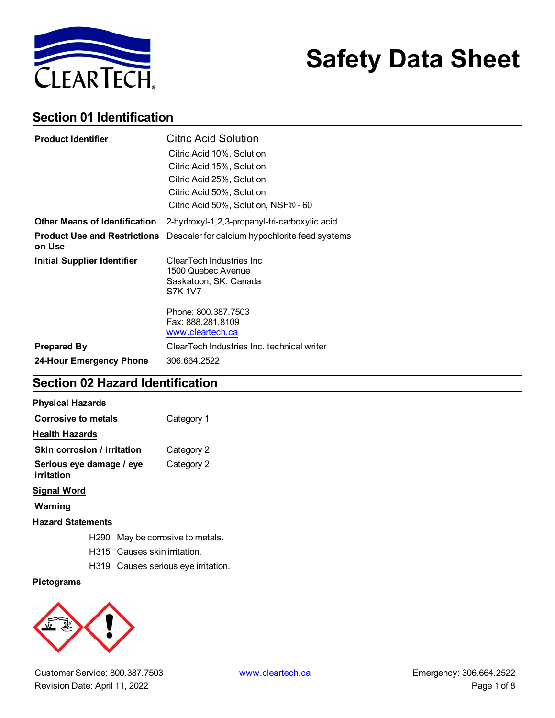

# **Safety Data Sheet**

## **Section 01 Identification**

| <b>Product Identifier</b>                     | <b>Citric Acid Solution</b>                    |
|-----------------------------------------------|------------------------------------------------|
|                                               | Citric Acid 10%, Solution                      |
|                                               | Citric Acid 15%, Solution                      |
|                                               | Citric Acid 25%, Solution                      |
|                                               | Citric Acid 50%, Solution                      |
|                                               | Citric Acid 50%, Solution, NSF® - 60           |
| <b>Other Means of Identification</b>          | 2-hydroxyl-1,2,3-propanyl-tri-carboxylic acid  |
| <b>Product Use and Restrictions</b><br>on Use | Descaler for calcium hypochlorite feed systems |
| Initial Supplier Identifier                   | ClearTech Industries Inc.                      |
|                                               | 1500 Quebec Avenue                             |
|                                               | Saskatoon, SK. Canada<br><b>S7K 1V7</b>        |
|                                               |                                                |
|                                               | Phone: 800.387.7503                            |
|                                               | Fax: 888.281.8109<br>www.cleartech.ca          |
| <b>Prepared By</b>                            | ClearTech Industries Inc. technical writer     |
| 24-Hour Emergency Phone                       | 306.664.2522                                   |

## **Section 02 Hazard Identification**

#### **Physical Hazards**

| Corrosive to metals                    | Category 1 |
|----------------------------------------|------------|
| Health Hazards                         |            |
| Skin corrosion / irritation            | Category 2 |
| Serious eye damage / eye<br>irritation | Category 2 |

#### **Signal Word**

**Warning**

#### **Hazard Statements**

- H290 May be corrosive to metals.
- H315 Causes skin irritation.
- H319 Causes serious eye irritation.

#### **Pictograms**

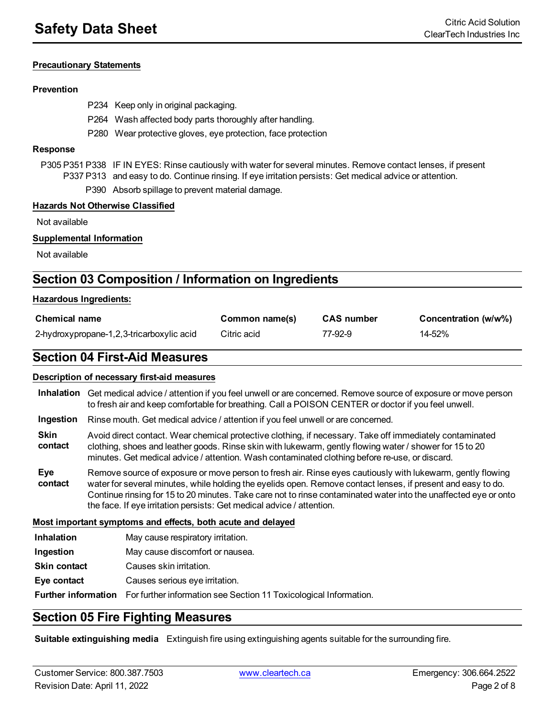#### **Precautionary Statements**

#### **Prevention**

- P234 Keep only in original packaging.
- P264 Wash affected body parts thoroughly after handling.
- P280 Wear protective gloves, eye protection, face protection

#### **Response**

P305 P351 P338 IF IN EYES: Rinse cautiously with water for several minutes. Remove contact lenses, if present P337 P313 and easy to do. Continue rinsing. If eye irritation persists: Get medical advice or attention.

P390 Absorb spillage to prevent material damage.

#### **Hazards Not Otherwise Classified**

Not available

#### **Supplemental Information**

Not available

### **Section 03 Composition / Information on Ingredients**

#### **Hazardous Ingredients:**

| <b>Chemical name</b>                      | Common name(s) | <b>CAS number</b> | Concentration (w/w%) |
|-------------------------------------------|----------------|-------------------|----------------------|
| 2-hydroxypropane-1,2,3-tricarboxylic acid | Citric acid    | 77-92-9           | 14-52%               |

#### **Section 04 First-Aid Measures**

#### **Description of necessary first-aid measures**

| Inhalation Get medical advice / attention if you feel unwell or are concerned. Remove source of exposure or move person |
|-------------------------------------------------------------------------------------------------------------------------|
| to fresh air and keep comfortable for breathing. Call a POISON CENTER or doctor if you feel unwell.                     |

**Ingestion** Rinse mouth. Get medical advice / attention if you feel unwell or are concerned.

**Skin contact** Avoid direct contact. Wear chemical protective clothing, if necessary. Take off immediately contaminated clothing, shoes and leather goods. Rinse skin with lukewarm, gently flowing water / shower for 15 to 20 minutes. Get medical advice / attention. Wash contaminated clothing before re-use, or discard.

**Eye contact** Remove source of exposure or move person to fresh air. Rinse eyes cautiously with lukewarm, gently flowing water for several minutes, while holding the eyelids open. Remove contact lenses, if present and easy to do. Continue rinsing for 15 to 20 minutes. Take care not to rinse contaminated water into the unaffected eye or onto the face. If eye irritation persists: Get medical advice / attention.

**Most important symptoms and effects, both acute and delayed**

- **Inhalation** May cause respiratory irritation.
- **Ingestion** May cause discomfort or nausea.

**Skin contact** Causes skin irritation.

**Eye contact** Causes serious eye irritation.

**Further information** For further information see Section 11 Toxicological Information.

### **Section 05 Fire Fighting Measures**

**Suitable extinguishing media** Extinguish fire using extinguishing agents suitable for the surrounding fire.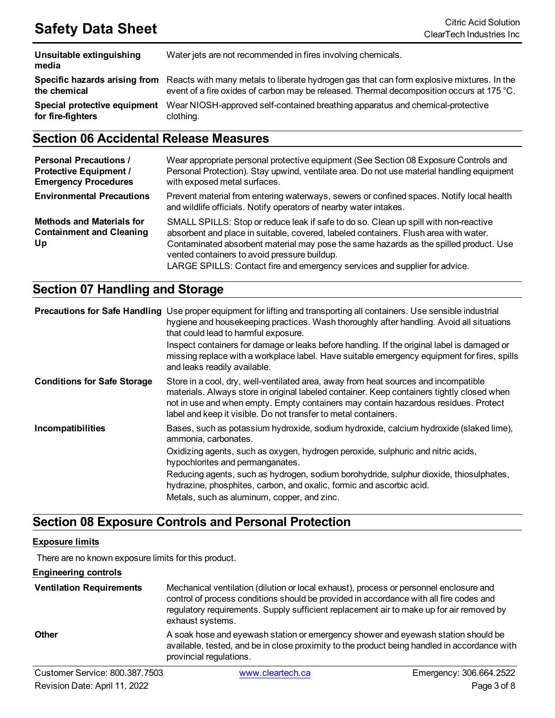| Unsuitable extinguishing<br>media | Water jets are not recommended in fires involving chemicals.                              |
|-----------------------------------|-------------------------------------------------------------------------------------------|
| Specific hazards arising from     | Reacts with many metals to liberate hydrogen gas that can form explosive mixtures. In the |
| the chemical                      | event of a fire oxides of carbon may be released. Thermal decomposition occurs at 175 °C. |
| Special protective equipment      | Wear NIOSH-approved self-contained breathing apparatus and chemical-protective            |
| for fire-fighters                 | clothing.                                                                                 |

## **Section 06 Accidental Release Measures**

| <b>Personal Precautions /</b><br><b>Protective Equipment /</b><br><b>Emergency Procedures</b> | Wear appropriate personal protective equipment (See Section 08 Exposure Controls and<br>Personal Protection). Stay upwind, ventilate area. Do not use material handling equipment<br>with exposed metal surfaces.                                                                                                                                                                                   |
|-----------------------------------------------------------------------------------------------|-----------------------------------------------------------------------------------------------------------------------------------------------------------------------------------------------------------------------------------------------------------------------------------------------------------------------------------------------------------------------------------------------------|
| <b>Environmental Precautions</b>                                                              | Prevent material from entering waterways, sewers or confined spaces. Notify local health<br>and wildlife officials. Notify operators of nearby water intakes.                                                                                                                                                                                                                                       |
| <b>Methods and Materials for</b><br><b>Containment and Cleaning</b><br>Up                     | SMALL SPILLS: Stop or reduce leak if safe to do so. Clean up spill with non-reactive<br>absorbent and place in suitable, covered, labeled containers. Flush area with water.<br>Contaminated absorbent material may pose the same hazards as the spilled product. Use<br>vented containers to avoid pressure buildup.<br>LARGE SPILLS: Contact fire and emergency services and supplier for advice. |

## **Section 07 Handling and Storage**

|                                    | <b>Precautions for Safe Handling</b> Use proper equipment for lifting and transporting all containers. Use sensible industrial<br>hygiene and housekeeping practices. Wash thoroughly after handling. Avoid all situations<br>that could lead to harmful exposure.<br>Inspect containers for damage or leaks before handling. If the original label is damaged or |
|------------------------------------|-------------------------------------------------------------------------------------------------------------------------------------------------------------------------------------------------------------------------------------------------------------------------------------------------------------------------------------------------------------------|
|                                    | missing replace with a workplace label. Have suitable emergency equipment for fires, spills<br>and leaks readily available.                                                                                                                                                                                                                                       |
| <b>Conditions for Safe Storage</b> | Store in a cool, dry, well-ventilated area, away from heat sources and incompatible<br>materials. Always store in original labeled container. Keep containers tightly closed when<br>not in use and when empty. Empty containers may contain hazardous residues. Protect<br>label and keep it visible. Do not transfer to metal containers.                       |
| Incompatibilities                  | Bases, such as potassium hydroxide, sodium hydroxide, calcium hydroxide (slaked lime),<br>ammonia, carbonates.                                                                                                                                                                                                                                                    |
|                                    | Oxidizing agents, such as oxygen, hydrogen peroxide, sulphuric and nitric acids,<br>hypochlorites and permanganates.                                                                                                                                                                                                                                              |
|                                    | Reducing agents, such as hydrogen, sodium borohydride, sulphur dioxide, thiosulphates,<br>hydrazine, phosphites, carbon, and oxalic, formic and ascorbic acid.                                                                                                                                                                                                    |
|                                    | Metals, such as aluminum, copper, and zinc.                                                                                                                                                                                                                                                                                                                       |

## **Section 08 Exposure Controls and Personal Protection**

#### **Exposure limits**

There are no known exposure limits for this product.

**Engineering controls**

| <b>Ventilation Requirements</b> | Mechanical ventilation (dilution or local exhaust), process or personnel enclosure and<br>control of process conditions should be provided in accordance with all fire codes and<br>regulatory requirements. Supply sufficient replacement air to make up for air removed by<br>exhaust systems. |
|---------------------------------|--------------------------------------------------------------------------------------------------------------------------------------------------------------------------------------------------------------------------------------------------------------------------------------------------|
| <b>Other</b>                    | A soak hose and eyewash station or emergency shower and eyewash station should be<br>available, tested, and be in close proximity to the product being handled in accordance with<br>provincial regulations.                                                                                     |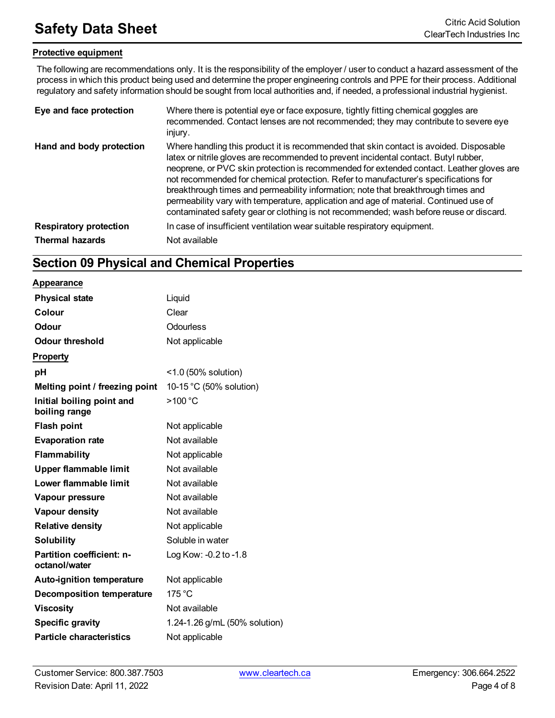#### **Protective equipment**

The following are recommendations only. It is the responsibility of the employer / user to conduct a hazard assessment of the process in which this product being used and determine the proper engineering controls and PPE for their process. Additional regulatory and safety information should be sought from local authorities and, if needed, a professional industrial hygienist.

| Eye and face protection       | Where there is potential eye or face exposure, tightly fitting chemical goggles are<br>recommended. Contact lenses are not recommended; they may contribute to severe eye<br>injury.                                                                                                                                                                                                                                                                                                                                                                                                                                                      |
|-------------------------------|-------------------------------------------------------------------------------------------------------------------------------------------------------------------------------------------------------------------------------------------------------------------------------------------------------------------------------------------------------------------------------------------------------------------------------------------------------------------------------------------------------------------------------------------------------------------------------------------------------------------------------------------|
| Hand and body protection      | Where handling this product it is recommended that skin contact is avoided. Disposable<br>latex or nitrile gloves are recommended to prevent incidental contact. Butyl rubber,<br>neoprene, or PVC skin protection is recommended for extended contact. Leather gloves are<br>not recommended for chemical protection. Refer to manufacturer's specifications for<br>breakthrough times and permeability information; note that breakthrough times and<br>permeability vary with temperature, application and age of material. Continued use of<br>contaminated safety gear or clothing is not recommended; wash before reuse or discard. |
| <b>Respiratory protection</b> | In case of insufficient ventilation wear suitable respiratory equipment.                                                                                                                                                                                                                                                                                                                                                                                                                                                                                                                                                                  |
| <b>Thermal hazards</b>        | Not available                                                                                                                                                                                                                                                                                                                                                                                                                                                                                                                                                                                                                             |

## **Section 09 Physical and Chemical Properties**

#### **Appearance**

| <b>Physical state</b>                      | Liquid                        |
|--------------------------------------------|-------------------------------|
| Colour                                     | Clear                         |
| Odour                                      | Odourless                     |
| <b>Odour threshold</b>                     | Not applicable                |
| <b>Property</b>                            |                               |
| рH                                         | $<$ 1.0 (50% solution)        |
| Melting point / freezing point             | 10-15 °C (50% solution)       |
| Initial boiling point and<br>boiling range | >100 °C                       |
| <b>Flash point</b>                         | Not applicable                |
| <b>Evaporation rate</b>                    | Not available                 |
| <b>Flammability</b>                        | Not applicable                |
| <b>Upper flammable limit</b>               | Not available                 |
| Lower flammable limit                      | Not available                 |
| Vapour pressure                            | Not available                 |
| Vapour density                             | Not available                 |
| <b>Relative density</b>                    | Not applicable                |
| <b>Solubility</b>                          | Soluble in water              |
| Partition coefficient: n-<br>octanol/water | Log Kow: -0.2 to -1.8         |
| <b>Auto-ignition temperature</b>           | Not applicable                |
| <b>Decomposition temperature</b>           | 175 °C                        |
| <b>Viscosity</b>                           | Not available                 |
| <b>Specific gravity</b>                    | 1.24-1.26 g/mL (50% solution) |
| <b>Particle characteristics</b>            | Not applicable                |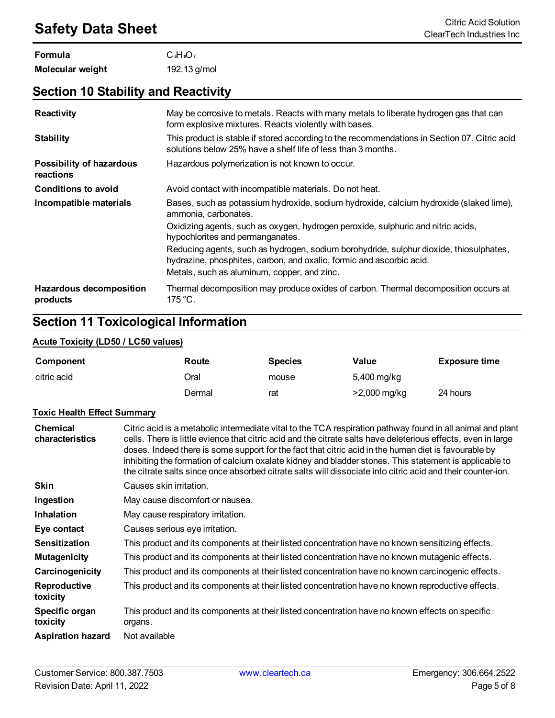| Formula          | $C_{6}H_{8}O_{7}$ |
|------------------|-------------------|
| Molecular weight | 192.13 g/mol      |

## **Section 10 Stability and Reactivity**

| <b>Reactivity</b>                            | May be corrosive to metals. Reacts with many metals to liberate hydrogen gas that can<br>form explosive mixtures. Reacts violently with bases.                 |
|----------------------------------------------|----------------------------------------------------------------------------------------------------------------------------------------------------------------|
| <b>Stability</b>                             | This product is stable if stored according to the recommendations in Section 07. Citric acid<br>solutions below 25% have a shelf life of less than 3 months.   |
| <b>Possibility of hazardous</b><br>reactions | Hazardous polymerization is not known to occur.                                                                                                                |
| <b>Conditions to avoid</b>                   | Avoid contact with incompatible materials. Do not heat.                                                                                                        |
| Incompatible materials                       | Bases, such as potassium hydroxide, sodium hydroxide, calcium hydroxide (slaked lime),<br>ammonia, carbonates.                                                 |
|                                              | Oxidizing agents, such as oxygen, hydrogen peroxide, sulphuric and nitric acids,<br>hypochlorites and permanganates.                                           |
|                                              | Reducing agents, such as hydrogen, sodium borohydride, sulphur dioxide, thiosulphates,<br>hydrazine, phosphites, carbon, and oxalic, formic and ascorbic acid. |
|                                              | Metals, such as aluminum, copper, and zinc.                                                                                                                    |
| <b>Hazardous decomposition</b><br>products   | Thermal decomposition may produce oxides of carbon. Thermal decomposition occurs at<br>$175 °C$ .                                                              |

## **Section 11 Toxicological Information**

#### **Acute Toxicity (LD50 / LC50 values)**

| Component   | Route  | <b>Species</b> | Value                     | <b>Exposure time</b> |
|-------------|--------|----------------|---------------------------|----------------------|
| citric acid | Oral   | mouse          | 5,400 mg/kg               |                      |
|             | Dermal | rat            | $>2,000 \,\mathrm{mg/kg}$ | 24 hours             |

#### **Toxic Health Effect Summary**

| <b>Chemical</b><br>characteristics | Citric acid is a metabolic intermediate vital to the TCA respiration pathway found in all animal and plant<br>cells. There is little evience that citric acid and the citrate salts have deleterious effects, even in large<br>doses. Indeed there is some support for the fact that citric acid in the human diet is favourable by<br>inhibiting the formation of calcium oxalate kidney and bladder stones. This statement is applicable to<br>the citrate salts since once absorbed citrate salts will dissociate into citric acid and their counter-ion. |
|------------------------------------|--------------------------------------------------------------------------------------------------------------------------------------------------------------------------------------------------------------------------------------------------------------------------------------------------------------------------------------------------------------------------------------------------------------------------------------------------------------------------------------------------------------------------------------------------------------|
| <b>Skin</b>                        | Causes skin irritation.                                                                                                                                                                                                                                                                                                                                                                                                                                                                                                                                      |
| Ingestion                          | May cause discomfort or nausea.                                                                                                                                                                                                                                                                                                                                                                                                                                                                                                                              |
| <b>Inhalation</b>                  | May cause respiratory irritation.                                                                                                                                                                                                                                                                                                                                                                                                                                                                                                                            |
| Eye contact                        | Causes serious eye irritation.                                                                                                                                                                                                                                                                                                                                                                                                                                                                                                                               |
| <b>Sensitization</b>               | This product and its components at their listed concentration have no known sensitizing effects.                                                                                                                                                                                                                                                                                                                                                                                                                                                             |
| <b>Mutagenicity</b>                | This product and its components at their listed concentration have no known mutagenic effects.                                                                                                                                                                                                                                                                                                                                                                                                                                                               |
| Carcinogenicity                    | This product and its components at their listed concentration have no known carcinogenic effects.                                                                                                                                                                                                                                                                                                                                                                                                                                                            |
| Reproductive<br>toxicity           | This product and its components at their listed concentration have no known reproductive effects.                                                                                                                                                                                                                                                                                                                                                                                                                                                            |
| Specific organ<br>toxicity         | This product and its components at their listed concentration have no known effects on specific<br>organs.                                                                                                                                                                                                                                                                                                                                                                                                                                                   |
| <b>Aspiration hazard</b>           | Not available                                                                                                                                                                                                                                                                                                                                                                                                                                                                                                                                                |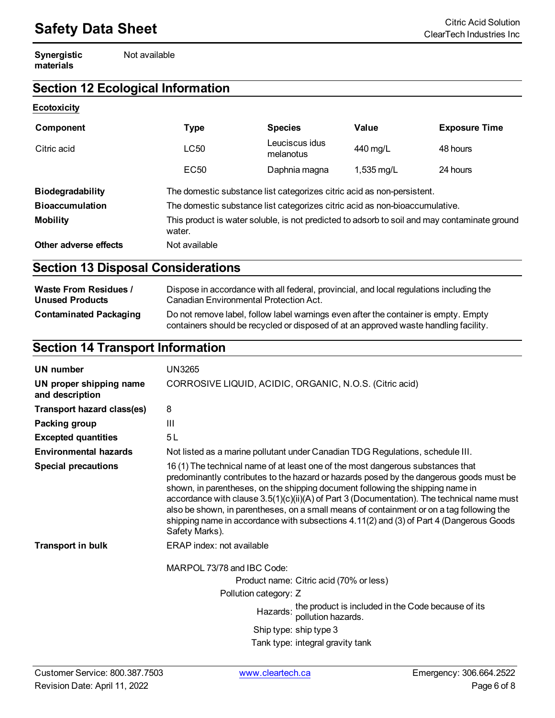## **Safety Data Sheet**<br>ClearTech Industries Inc

**Synergistic materials**

Not available

## **Section 12 Ecological Information**

#### **Ecotoxicity**

| Component               | <b>Type</b>                                                                                            | <b>Species</b>              | Value                | <b>Exposure Time</b> |
|-------------------------|--------------------------------------------------------------------------------------------------------|-----------------------------|----------------------|----------------------|
| Citric acid             | LC50                                                                                                   | Leuciscus idus<br>melanotus | 440 mg/L             | 48 hours             |
|                         | EC50                                                                                                   | Daphnia magna               | $1,535 \text{ mg/L}$ | 24 hours             |
| <b>Biodegradability</b> | The domestic substance list categorizes citric acid as non-persistent.                                 |                             |                      |                      |
| <b>Bioaccumulation</b>  | The domestic substance list categorizes citric acid as non-bioaccumulative.                            |                             |                      |                      |
| <b>Mobility</b>         | This product is water soluble, is not predicted to adsorb to soil and may contaminate ground<br>water. |                             |                      |                      |
| Other adverse effects   | Not available                                                                                          |                             |                      |                      |

## **Section 13 Disposal Considerations**

| <b>Waste From Residues /</b>  | Dispose in accordance with all federal, provincial, and local regulations including the                                                                                     |
|-------------------------------|-----------------------------------------------------------------------------------------------------------------------------------------------------------------------------|
| <b>Unused Products</b>        | Canadian Environmental Protection Act.                                                                                                                                      |
| <b>Contaminated Packaging</b> | Do not remove label, follow label warnings even after the container is empty. Empty<br>containers should be recycled or disposed of at an approved waste handling facility. |

## **Section 14 Transport Information**

| UN number                                  | UN3265                                                                                                                                                                                                                                                                                                                                                                                                                                                                                                                                                              |
|--------------------------------------------|---------------------------------------------------------------------------------------------------------------------------------------------------------------------------------------------------------------------------------------------------------------------------------------------------------------------------------------------------------------------------------------------------------------------------------------------------------------------------------------------------------------------------------------------------------------------|
| UN proper shipping name<br>and description | CORROSIVE LIQUID, ACIDIC, ORGANIC, N.O.S. (Citric acid)                                                                                                                                                                                                                                                                                                                                                                                                                                                                                                             |
| <b>Transport hazard class(es)</b>          | 8                                                                                                                                                                                                                                                                                                                                                                                                                                                                                                                                                                   |
| Packing group                              | Ш                                                                                                                                                                                                                                                                                                                                                                                                                                                                                                                                                                   |
| <b>Excepted quantities</b>                 | 5L                                                                                                                                                                                                                                                                                                                                                                                                                                                                                                                                                                  |
| <b>Environmental hazards</b>               | Not listed as a marine pollutant under Canadian TDG Regulations, schedule III.                                                                                                                                                                                                                                                                                                                                                                                                                                                                                      |
| <b>Special precautions</b>                 | 16 (1) The technical name of at least one of the most dangerous substances that<br>predominantly contributes to the hazard or hazards posed by the dangerous goods must be<br>shown, in parentheses, on the shipping document following the shipping name in<br>accordance with clause 3.5(1)(c)(ii)(A) of Part 3 (Documentation). The technical name must<br>also be shown, in parentheses, on a small means of containment or on a tag following the<br>shipping name in accordance with subsections 4.11(2) and (3) of Part 4 (Dangerous Goods<br>Safety Marks). |
| <b>Transport in bulk</b>                   | ERAP index: not available                                                                                                                                                                                                                                                                                                                                                                                                                                                                                                                                           |
|                                            | MARPOL 73/78 and IBC Code:<br>Product name: Citric acid (70% or less)<br>Pollution category: Z<br>Hazards: the product is included in the Code because of its<br>pollution hazards.<br>Ship type: ship type 3                                                                                                                                                                                                                                                                                                                                                       |
|                                            | Tank type: integral gravity tank                                                                                                                                                                                                                                                                                                                                                                                                                                                                                                                                    |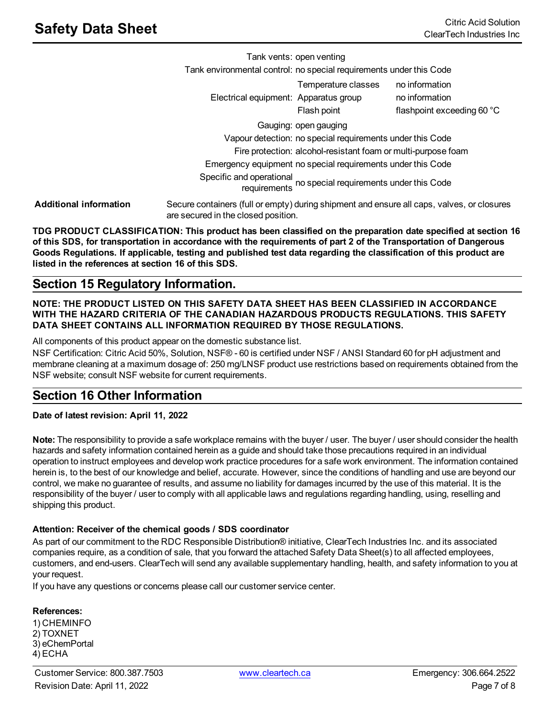Tank vents: open venting Tank environmental control: no special requirements under this Code Electrical equipment: Apparatus group ho information Temperature classes no information Flash point flashpoint exceeding 60 °C Gauging: open gauging Vapour detection: no special requirements under this Code Fire protection: alcohol-resistant foam or multi-purpose foam Emergency equipment no special requirements under this Code Specific and operational requirements no special requirements under this Code **Additional information** Secure containers (full or empty) during shipment and ensure all caps, valves, or closures are secured in the closed position.

**TDG PRODUCT CLASSIFICATION: This product has been classified on the preparation date specified at section 16** of this SDS, for transportation in accordance with the requirements of part 2 of the Transportation of Dangerous Goods Regulations. If applicable, testing and published test data regarding the classification of this product are **listed in the references at section 16 of this SDS.**

## **Section 15 Regulatory Information.**

#### **NOTE: THE PRODUCT LISTED ON THIS SAFETY DATA SHEET HAS BEEN CLASSIFIED IN ACCORDANCE WITH THE HAZARD CRITERIA OF THE CANADIAN HAZARDOUS PRODUCTS REGULATIONS. THIS SAFETY DATA SHEET CONTAINS ALL INFORMATION REQUIRED BY THOSE REGULATIONS.**

All components of this product appear on the domestic substance list.

NSF Certification: Citric Acid 50%, Solution, NSF® - 60 is certified under NSF / ANSI Standard 60 for pH adjustment and membrane cleaning at a maximum dosage of: 250 mg/LNSF product use restrictions based on requirements obtained from the NSF website; consult NSF website for current requirements.

## **Section 16 Other Information**

**Date of latest revision: April 11, 2022**

**Note:** The responsibility to provide a safe workplace remains with the buyer / user. The buyer / user should consider the health hazards and safety information contained herein as a guide and should take those precautions required in an individual operation to instruct employees and develop work practice procedures for a safe work environment. The information contained herein is, to the best of our knowledge and belief, accurate. However, since the conditions of handling and use are beyond our control, we make no guarantee of results, and assume no liability for damages incurred by the use of this material. It is the responsibility of the buyer / user to comply with all applicable laws and regulations regarding handling, using, reselling and shipping this product.

#### **Attention: Receiver of the chemical goods / SDS coordinator**

As part of our commitment to the RDC Responsible Distribution® initiative, ClearTech Industries Inc. and its associated companies require, as a condition of sale, that you forward the attached Safety Data Sheet(s) to all affected employees, customers, and end-users. ClearTech will send any available supplementary handling, health, and safety information to you at your request.

If you have any questions or concerns please call our customer service center.

#### **References:**

1) CHEMINFO 2) TOXNET 3) eChemPortal 4) ECHA